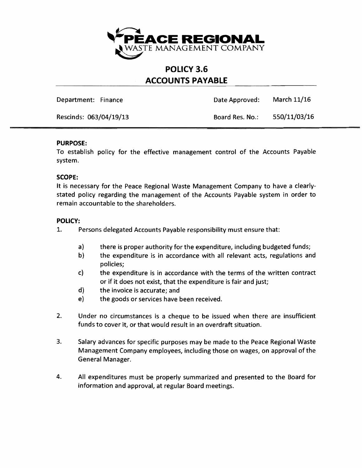

## **POLICY 3.6 ACCOUNTS PAYABLE**

Department: Finance **Date Approved:** March 11/16

Rescinds: 063/04/19/13 Board Res. No.: 550/11/03/16

## **PURPOSE:**

To establish policy for the effective management control of the Accounts Payable system.

## **SCOPE:**

It is necessary for the Peace Regional Waste Management Company to have a clearlystated policy regarding the management of the Accounts Payable system in order to remain accountable to the shareholders.

## **POLICY:**

- 1. Persons delegated Accounts Payable responsibility must ensure that:
	- a) there is proper authority for the expenditure, including budgeted funds;
	- b) the expenditure is in accordance with all relevant acts, regulations and policies;
	- c) the expenditure is in accordance with the terms of the written contract or if it does not exist, that the expenditure is fair and just;
	- d) the invoice is accurate; and
	- e) the goods or services have been received.
- 2. Under no circumstances is a cheque to be issued when there are insufficient funds to cover it, or that would result in an overdraft situation.
- 3. Salary advances for specific purposes may be made to the Peace Regional Waste Management Company employees, including those on wages, on approval of the General Manager.
- 4. All expenditures must be properly summarized and presented to the Board for information and approval, at regular Board meetings.